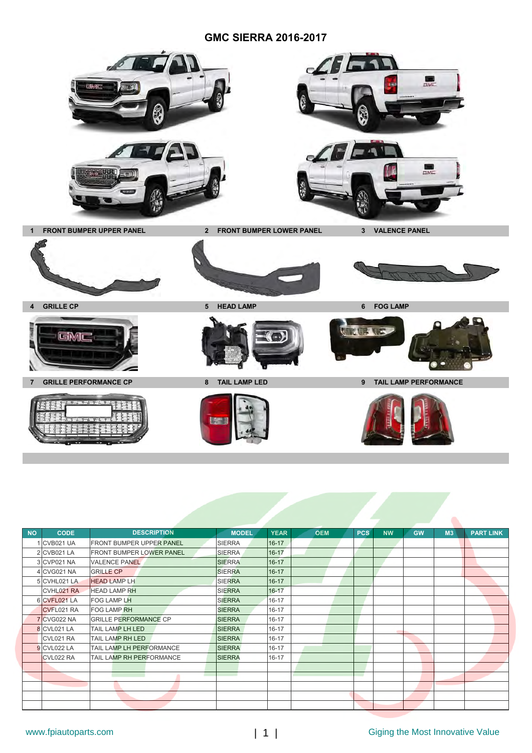## **GMC SIERRA 2016-2017**



| <b>NO</b> | <b>CODE</b>  | <b>DESCRIPTION</b>              | <b>MODEL</b>  | <b>YEAR</b> | <b>OEM</b> | <b>PCS</b> | <b>NW</b> | <b>GW</b> | M <sub>3</sub> | <b>PART LINK</b> |
|-----------|--------------|---------------------------------|---------------|-------------|------------|------------|-----------|-----------|----------------|------------------|
|           | I CVB021 UA  | <b>FRONT BUMPER UPPER PANEL</b> | <b>SIERRA</b> | $16 - 17$   |            |            |           |           |                |                  |
|           | 2 CVB021 LA  | <b>FRONT BUMPER LOWER PANEL</b> | <b>SIERRA</b> | $16 - 17$   |            |            |           |           |                |                  |
|           | 3 CVP021 NA  | <b>VALENCE PANEL</b>            | <b>SIERRA</b> | $16 - 17$   |            |            |           |           |                |                  |
|           | 4 CVG021 NA  | <b>GRILLE CP</b>                | <b>SIERRA</b> | $16 - 17$   |            |            |           |           |                |                  |
|           | 5 CVHL021 LA | <b>HEAD LAMP LH</b>             | <b>SIERRA</b> | $16 - 17$   |            |            |           |           |                |                  |
|           | CVHL021 RA   | <b>HEAD LAMP RH</b>             | <b>SIERRA</b> | $16 - 17$   |            |            |           |           |                |                  |
|           | 6 CVFL021 LA | <b>FOG LAMP LH</b>              | <b>SIERRA</b> | $16 - 17$   |            |            |           |           |                |                  |
|           | CVFL021 RA   | <b>FOG LAMP RH</b>              | <b>SIERRA</b> | $16 - 17$   |            |            |           |           |                |                  |
|           | 7 CVG022 NA  | <b>GRILLE PERFORMANCE CP</b>    | <b>SIERRA</b> | $16 - 17$   |            |            |           |           |                |                  |
|           | 8 CVL021 LA  | TAIL LAMP LH LED                | <b>SIERRA</b> | 16-17       |            |            |           |           |                |                  |
|           | CVL021 RA    | TAIL LAMP RH LED                | <b>SIERRA</b> | $16 - 17$   |            |            |           |           |                |                  |
|           | 9 CVL022 LA  | TAIL LAMP LH PERFORMANCE        | <b>SIERRA</b> | $16 - 17$   |            |            |           |           |                |                  |
|           | CVL022 RA    | TAIL LAMP RH PERFORMANCE        | <b>SIERRA</b> | $16 - 17$   |            |            |           |           |                |                  |
|           |              |                                 |               |             |            |            |           |           |                |                  |
|           |              |                                 |               |             |            |            |           |           |                |                  |
|           |              |                                 |               |             |            |            |           |           |                |                  |
|           |              |                                 |               |             |            |            |           |           |                |                  |
|           |              |                                 |               |             |            |            |           |           |                |                  |

 $\bullet$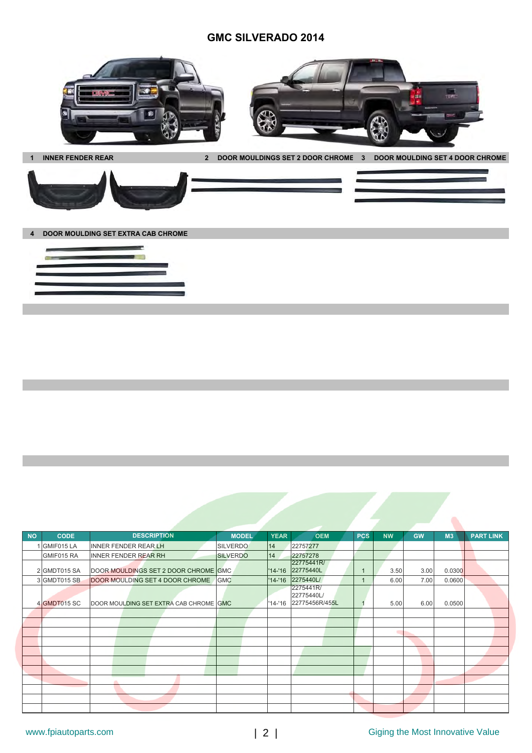## **GMC SILVERADO 2014**





**4 DOOR MOULDING SET EXTRA CAB CHROME**



| <b>NO</b> | <b>CODE</b>  |                                        | <b>DESCRIPTION</b> | <b>MODEL</b>    | <b>YEAR</b> | <b>OEM</b>                                        | <b>PCS</b> | <b>NW</b> | <b>GW</b> | M <sub>3</sub> | <b>PART LINK</b> |
|-----------|--------------|----------------------------------------|--------------------|-----------------|-------------|---------------------------------------------------|------------|-----------|-----------|----------------|------------------|
|           | 1 GMIF015 LA | <b>INNER FENDER REAR LH</b>            |                    | <b>SILVERDO</b> | 14          | 22757277                                          |            |           |           |                |                  |
|           | GMIF015 RA   | <b>INNER FENDER REAR RH</b>            |                    | <b>SILVERDO</b> | 14          | 22757278                                          |            |           |           |                |                  |
|           | 2 GMDT015 SA | DOOR MOULDINGS SET 2 DOOR CHROME GMC   |                    |                 |             | 22775441R/<br>'14-'16 22775440L                   |            | 3.50      | 3.00      | 0.0300         |                  |
|           | 3 GMDT015 SB | DOOR MOULDING SET 4 DOOR CHROME        |                    | <b>GMC</b>      |             | '14-'16 2275440L/                                 |            | 6.00      | 7.00      | 0.0600         |                  |
|           | 4 GMDT015 SC | DOOR MOULDING SET EXTRA CAB CHROME GMC |                    |                 |             | 2275441R/<br>22775440L/<br>'14-'16 22775456R/455L |            | 5.00      | 6.00      | 0.0500         |                  |
|           |              |                                        |                    |                 |             |                                                   |            |           |           |                |                  |
|           |              |                                        |                    |                 |             |                                                   |            |           |           |                |                  |
|           |              |                                        |                    |                 |             |                                                   |            | ٠         |           |                |                  |
|           |              |                                        |                    |                 |             |                                                   |            |           |           |                |                  |
|           |              |                                        |                    |                 |             |                                                   |            |           |           |                |                  |
|           |              |                                        |                    |                 |             |                                                   |            |           |           |                |                  |
|           |              |                                        |                    |                 |             |                                                   |            |           |           |                |                  |
|           |              | ۰                                      |                    |                 |             |                                                   |            |           |           |                |                  |
|           |              |                                        |                    |                 |             |                                                   |            |           |           |                |                  |
|           |              |                                        |                    |                 |             |                                                   |            |           |           |                |                  |
|           |              |                                        |                    |                 |             |                                                   |            |           |           |                |                  |